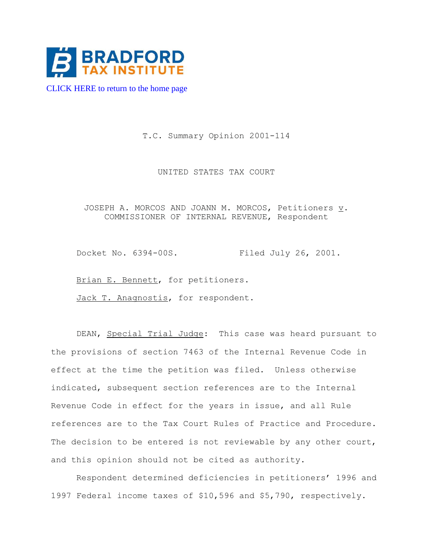

[CLICK HERE to return to the home page](https://www.bradfordtaxinstitute.com) 

T.C. Summary Opinion 2001-114

UNITED STATES TAX COURT

JOSEPH A. MORCOS AND JOANN M. MORCOS, Petitioners  $\underline{v}$ . COMMISSIONER OF INTERNAL REVENUE, Respondent

Docket No. 6394-00S. Filed July 26, 2001.

Brian E. Bennett, for petitioners.

Jack T. Anagnostis, for respondent.

DEAN, Special Trial Judge: This case was heard pursuant to the provisions of section 7463 of the Internal Revenue Code in effect at the time the petition was filed. Unless otherwise indicated, subsequent section references are to the Internal Revenue Code in effect for the years in issue, and all Rule references are to the Tax Court Rules of Practice and Procedure. The decision to be entered is not reviewable by any other court, and this opinion should not be cited as authority.

Respondent determined deficiencies in petitioners' 1996 and 1997 Federal income taxes of \$10,596 and \$5,790, respectively.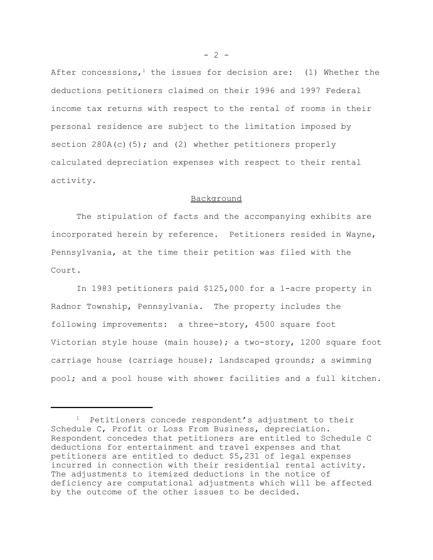After concessions,<sup>1</sup> the issues for decision are: (1) Whether the deductions petitioners claimed on their 1996 and 1997 Federal income tax returns with respect to the rental of rooms in their personal residence are subject to the limitation imposed by section  $280A(c)$ (5); and (2) whether petitioners properly calculated depreciation expenses with respect to their rental activity.

## Background

The stipulation of facts and the accompanying exhibits are incorporated herein by reference. Petitioners resided in Wayne, Pennsylvania, at the time their petition was filed with the Court.

In 1983 petitioners paid \$125,000 for a 1-acre property in Radnor Township, Pennsylvania. The property includes the following improvements: a three-story, 4500 square foot Victorian style house (main house); a two-story, 1200 square foot carriage house (carriage house); landscaped grounds; a swimming pool; and a pool house with shower facilities and a full kitchen.

 $- 2 -$ 

 $1$  Petitioners concede respondent's adjustment to their Schedule C, Profit or Loss From Business, depreciation. Respondent concedes that petitioners are entitled to Schedule C deductions for entertainment and travel expenses and that petitioners are entitled to deduct \$5,231 of legal expenses incurred in connection with their residential rental activity. The adjustments to itemized deductions in the notice of deficiency are computational adjustments which will be affected by the outcome of the other issues to be decided.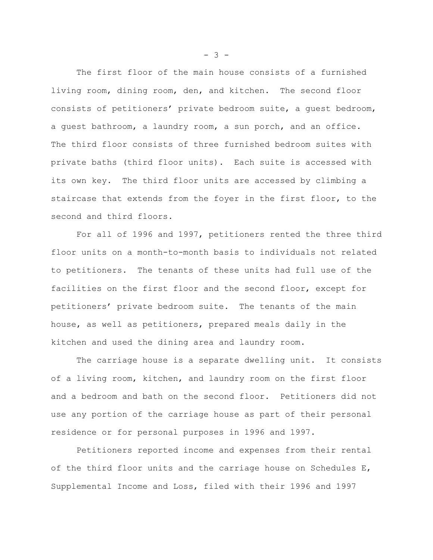The first floor of the main house consists of a furnished living room, dining room, den, and kitchen. The second floor consists of petitioners' private bedroom suite, a guest bedroom, a guest bathroom, a laundry room, a sun porch, and an office. The third floor consists of three furnished bedroom suites with private baths (third floor units). Each suite is accessed with its own key. The third floor units are accessed by climbing a staircase that extends from the foyer in the first floor, to the second and third floors.

For all of 1996 and 1997, petitioners rented the three third floor units on a month-to-month basis to individuals not related to petitioners. The tenants of these units had full use of the facilities on the first floor and the second floor, except for petitioners' private bedroom suite. The tenants of the main house, as well as petitioners, prepared meals daily in the kitchen and used the dining area and laundry room.

The carriage house is a separate dwelling unit. It consists of a living room, kitchen, and laundry room on the first floor and a bedroom and bath on the second floor. Petitioners did not use any portion of the carriage house as part of their personal residence or for personal purposes in 1996 and 1997.

Petitioners reported income and expenses from their rental of the third floor units and the carriage house on Schedules E, Supplemental Income and Loss, filed with their 1996 and 1997

 $- 3 -$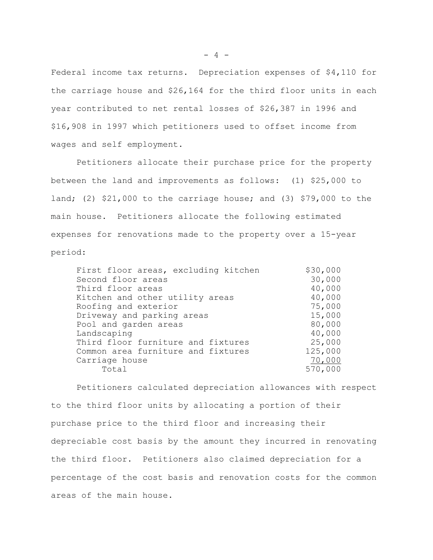Federal income tax returns. Depreciation expenses of \$4,110 for the carriage house and \$26,164 for the third floor units in each year contributed to net rental losses of \$26,387 in 1996 and \$16,908 in 1997 which petitioners used to offset income from wages and self employment.

Petitioners allocate their purchase price for the property between the land and improvements as follows: (1) \$25,000 to land; (2) \$21,000 to the carriage house; and (3) \$79,000 to the main house. Petitioners allocate the following estimated expenses for renovations made to the property over a 15-year period:

| \$30,000 |
|----------|
| 30,000   |
| 40,000   |
| 40,000   |
| 75,000   |
| 15,000   |
| 80,000   |
| 40,000   |
| 25,000   |
| 125,000  |
| 70,000   |
| 570,000  |
|          |

Petitioners calculated depreciation allowances with respect to the third floor units by allocating a portion of their purchase price to the third floor and increasing their depreciable cost basis by the amount they incurred in renovating the third floor. Petitioners also claimed depreciation for a percentage of the cost basis and renovation costs for the common areas of the main house.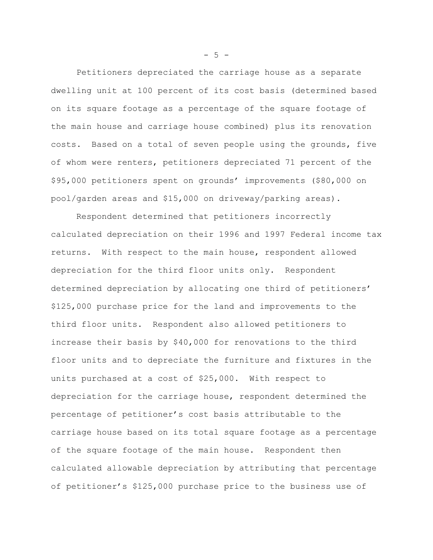Petitioners depreciated the carriage house as a separate dwelling unit at 100 percent of its cost basis (determined based on its square footage as a percentage of the square footage of the main house and carriage house combined) plus its renovation costs. Based on a total of seven people using the grounds, five of whom were renters, petitioners depreciated 71 percent of the \$95,000 petitioners spent on grounds' improvements (\$80,000 on pool/garden areas and \$15,000 on driveway/parking areas).

Respondent determined that petitioners incorrectly calculated depreciation on their 1996 and 1997 Federal income tax returns. With respect to the main house, respondent allowed depreciation for the third floor units only. Respondent determined depreciation by allocating one third of petitioners' \$125,000 purchase price for the land and improvements to the third floor units. Respondent also allowed petitioners to increase their basis by \$40,000 for renovations to the third floor units and to depreciate the furniture and fixtures in the units purchased at a cost of \$25,000. With respect to depreciation for the carriage house, respondent determined the percentage of petitioner's cost basis attributable to the carriage house based on its total square footage as a percentage of the square footage of the main house. Respondent then calculated allowable depreciation by attributing that percentage of petitioner's \$125,000 purchase price to the business use of

 $- 5 -$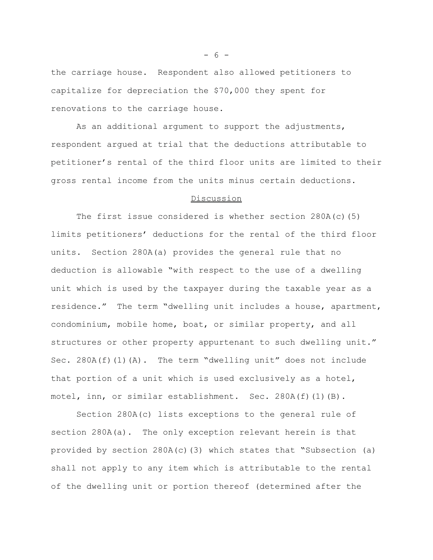the carriage house. Respondent also allowed petitioners to capitalize for depreciation the \$70,000 they spent for renovations to the carriage house.

As an additional argument to support the adjustments, respondent argued at trial that the deductions attributable to petitioner's rental of the third floor units are limited to their gross rental income from the units minus certain deductions.

## Discussion

The first issue considered is whether section 280A(c)(5) limits petitioners' deductions for the rental of the third floor units. Section 280A(a) provides the general rule that no deduction is allowable "with respect to the use of a dwelling unit which is used by the taxpayer during the taxable year as a residence." The term "dwelling unit includes a house, apartment, condominium, mobile home, boat, or similar property, and all structures or other property appurtenant to such dwelling unit." Sec. 280A(f)(1)(A). The term "dwelling unit" does not include that portion of a unit which is used exclusively as a hotel, motel, inn, or similar establishment. Sec. 280A(f)(1)(B).

Section 280A(c) lists exceptions to the general rule of section 280A(a). The only exception relevant herein is that provided by section  $280A(c)(3)$  which states that "Subsection (a) shall not apply to any item which is attributable to the rental of the dwelling unit or portion thereof (determined after the

- 6 -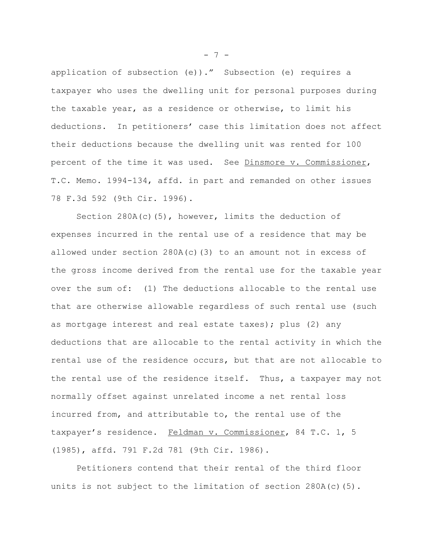application of subsection (e))." Subsection (e) requires a taxpayer who uses the dwelling unit for personal purposes during the taxable year, as a residence or otherwise, to limit his deductions. In petitioners' case this limitation does not affect their deductions because the dwelling unit was rented for 100 percent of the time it was used. See Dinsmore v. Commissioner, T.C. Memo. 1994-134, affd. in part and remanded on other issues 78 F.3d 592 (9th Cir. 1996).

Section  $280A(c)(5)$ , however, limits the deduction of expenses incurred in the rental use of a residence that may be allowed under section 280A(c)(3) to an amount not in excess of the gross income derived from the rental use for the taxable year over the sum of: (1) The deductions allocable to the rental use that are otherwise allowable regardless of such rental use (such as mortgage interest and real estate taxes); plus (2) any deductions that are allocable to the rental activity in which the rental use of the residence occurs, but that are not allocable to the rental use of the residence itself. Thus, a taxpayer may not normally offset against unrelated income a net rental loss incurred from, and attributable to, the rental use of the taxpayer's residence. Feldman v. Commissioner, 84 T.C. 1, 5 (1985), affd. 791 F.2d 781 (9th Cir. 1986).

Petitioners contend that their rental of the third floor units is not subject to the limitation of section  $280A(c)(5)$ .

- 7 -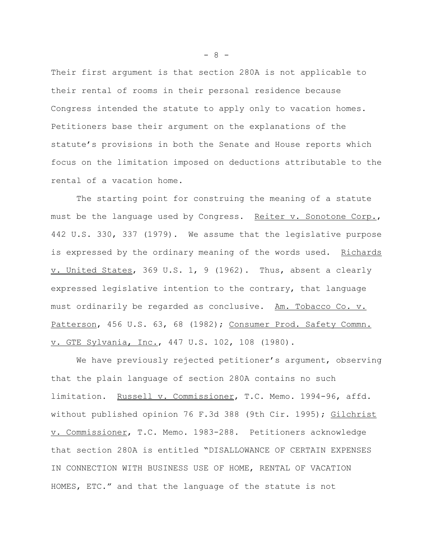Their first argument is that section 280A is not applicable to their rental of rooms in their personal residence because Congress intended the statute to apply only to vacation homes. Petitioners base their argument on the explanations of the statute's provisions in both the Senate and House reports which focus on the limitation imposed on deductions attributable to the rental of a vacation home.

The starting point for construing the meaning of a statute must be the language used by Congress. Reiter v. Sonotone Corp., 442 U.S. 330, 337 (1979). We assume that the legislative purpose is expressed by the ordinary meaning of the words used. Richards  $\underline{v}$ . United States, 369 U.S. 1, 9 (1962). Thus, absent a clearly expressed legislative intention to the contrary, that language must ordinarily be regarded as conclusive. Am. Tobacco Co. v. Patterson, 456 U.S. 63, 68 (1982); Consumer Prod. Safety Commn. v. GTE Sylvania, Inc., 447 U.S. 102, 108 (1980).

We have previously rejected petitioner's argument, observing that the plain language of section 280A contains no such limitation. Russell v. Commissioner, T.C. Memo. 1994-96, affd. without published opinion 76 F.3d 388 (9th Cir. 1995); Gilchrist v. Commissioner, T.C. Memo. 1983-288. Petitioners acknowledge that section 280A is entitled "DISALLOWANCE OF CERTAIN EXPENSES IN CONNECTION WITH BUSINESS USE OF HOME, RENTAL OF VACATION HOMES, ETC." and that the language of the statute is not

- 8 -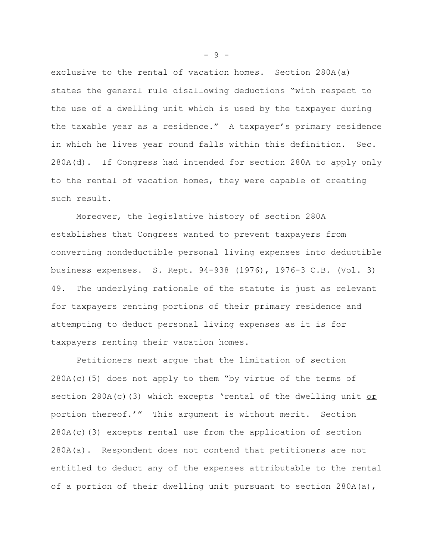exclusive to the rental of vacation homes. Section 280A(a) states the general rule disallowing deductions "with respect to the use of a dwelling unit which is used by the taxpayer during the taxable year as a residence." A taxpayer's primary residence in which he lives year round falls within this definition. Sec. 280A(d). If Congress had intended for section 280A to apply only to the rental of vacation homes, they were capable of creating such result.

Moreover, the legislative history of section 280A establishes that Congress wanted to prevent taxpayers from converting nondeductible personal living expenses into deductible business expenses. S. Rept. 94-938 (1976), 1976-3 C.B. (Vol. 3) 49. The underlying rationale of the statute is just as relevant for taxpayers renting portions of their primary residence and attempting to deduct personal living expenses as it is for taxpayers renting their vacation homes.

Petitioners next argue that the limitation of section  $280A(c)$  (5) does not apply to them "by virtue of the terms of section  $280A(c)$  (3) which excepts 'rental of the dwelling unit or portion thereof.'" This argument is without merit. Section  $280A(c)(3)$  excepts rental use from the application of section 280A(a). Respondent does not contend that petitioners are not entitled to deduct any of the expenses attributable to the rental of a portion of their dwelling unit pursuant to section 280A(a),

- 9 -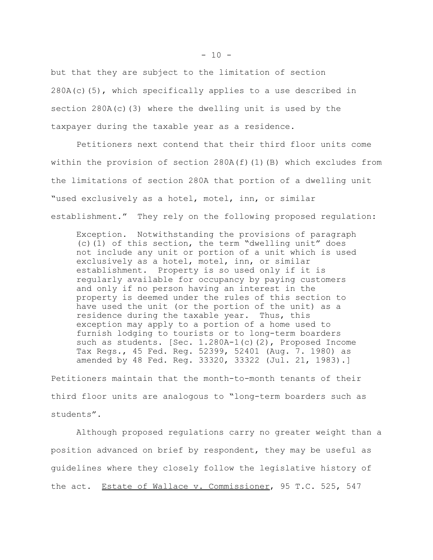but that they are subject to the limitation of section  $280A(c)(5)$ , which specifically applies to a use described in section 280A(c)(3) where the dwelling unit is used by the taxpayer during the taxable year as a residence.

Petitioners next contend that their third floor units come within the provision of section  $280A(f)(1)(B)$  which excludes from the limitations of section 280A that portion of a dwelling unit "used exclusively as a hotel, motel, inn, or similar establishment." They rely on the following proposed regulation:

Exception. Notwithstanding the provisions of paragraph (c)(1) of this section, the term "dwelling unit" does not include any unit or portion of a unit which is used exclusively as a hotel, motel, inn, or similar establishment. Property is so used only if it is regularly available for occupancy by paying customers and only if no person having an interest in the property is deemed under the rules of this section to have used the unit (or the portion of the unit) as a residence during the taxable year. Thus, this exception may apply to a portion of a home used to furnish lodging to tourists or to long-term boarders such as students. [Sec. 1.280A-1(c)(2), Proposed Income Tax Regs., 45 Fed. Reg. 52399, 52401 (Aug. 7. 1980) as amended by 48 Fed. Reg. 33320, 33322 (Jul. 21, 1983).]

Petitioners maintain that the month-to-month tenants of their third floor units are analogous to "long-term boarders such as students".

Although proposed regulations carry no greater weight than a position advanced on brief by respondent, they may be useful as guidelines where they closely follow the legislative history of the act. Estate of Wallace v. Commissioner, 95 T.C. 525, 547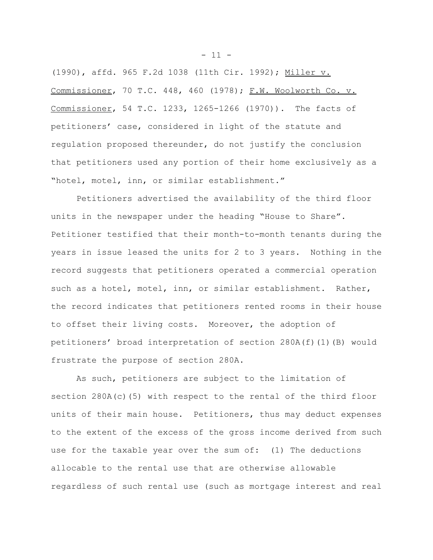(1990), affd. 965 F.2d 1038 (11th Cir. 1992); Miller v. Commissioner, 70 T.C. 448, 460 (1978); F.W. Woolworth Co. v. Commissioner, 54 T.C. 1233, 1265-1266 (1970)). The facts of petitioners' case, considered in light of the statute and regulation proposed thereunder, do not justify the conclusion that petitioners used any portion of their home exclusively as a "hotel, motel, inn, or similar establishment."

Petitioners advertised the availability of the third floor units in the newspaper under the heading "House to Share". Petitioner testified that their month-to-month tenants during the years in issue leased the units for 2 to 3 years. Nothing in the record suggests that petitioners operated a commercial operation such as a hotel, motel, inn, or similar establishment. Rather, the record indicates that petitioners rented rooms in their house to offset their living costs. Moreover, the adoption of petitioners' broad interpretation of section 280A(f)(1)(B) would frustrate the purpose of section 280A.

As such, petitioners are subject to the limitation of section 280A(c)(5) with respect to the rental of the third floor units of their main house. Petitioners, thus may deduct expenses to the extent of the excess of the gross income derived from such use for the taxable year over the sum of: (1) The deductions allocable to the rental use that are otherwise allowable regardless of such rental use (such as mortgage interest and real

 $- 11 -$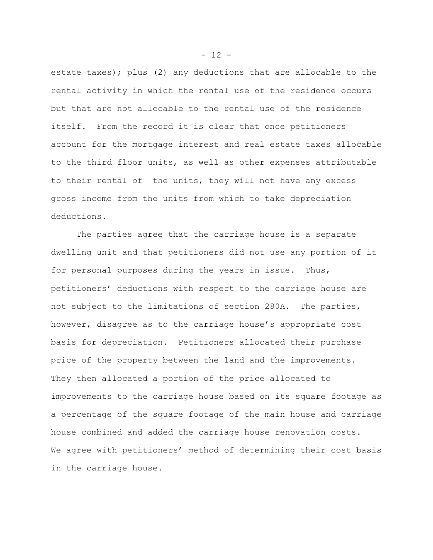estate taxes); plus (2) any deductions that are allocable to the rental activity in which the rental use of the residence occurs but that are not allocable to the rental use of the residence itself. From the record it is clear that once petitioners account for the mortgage interest and real estate taxes allocable to the third floor units, as well as other expenses attributable to their rental of the units, they will not have any excess gross income from the units from which to take depreciation deductions.

The parties agree that the carriage house is a separate dwelling unit and that petitioners did not use any portion of it for personal purposes during the years in issue. Thus, petitioners' deductions with respect to the carriage house are not subject to the limitations of section 280A. The parties, however, disagree as to the carriage house's appropriate cost basis for depreciation. Petitioners allocated their purchase price of the property between the land and the improvements. They then allocated a portion of the price allocated to improvements to the carriage house based on its square footage as a percentage of the square footage of the main house and carriage house combined and added the carriage house renovation costs. We agree with petitioners' method of determining their cost basis in the carriage house.

 $- 12 -$